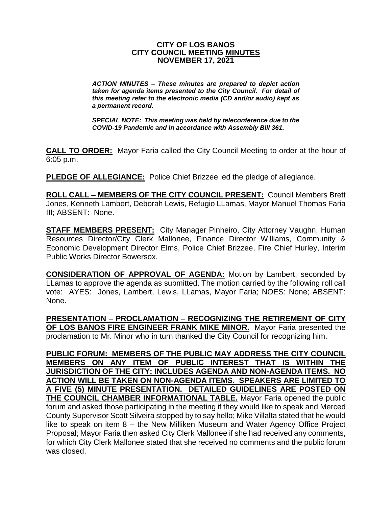### **CITY OF LOS BANOS CITY COUNCIL MEETING MINUTES NOVEMBER 17, 2021**

*ACTION MINUTES – These minutes are prepared to depict action taken for agenda items presented to the City Council. For detail of this meeting refer to the electronic media (CD and/or audio) kept as a permanent record.*

*SPECIAL NOTE: This meeting was held by teleconference due to the COVID-19 Pandemic and in accordance with Assembly Bill 361.*

**CALL TO ORDER:** Mayor Faria called the City Council Meeting to order at the hour of 6:05 p.m.

**PLEDGE OF ALLEGIANCE:** Police Chief Brizzee led the pledge of allegiance.

**ROLL CALL – MEMBERS OF THE CITY COUNCIL PRESENT:** Council Members Brett Jones, Kenneth Lambert, Deborah Lewis, Refugio LLamas, Mayor Manuel Thomas Faria III; ABSENT: None.

**STAFF MEMBERS PRESENT:** City Manager Pinheiro, City Attorney Vaughn, Human Resources Director/City Clerk Mallonee, Finance Director Williams, Community & Economic Development Director Elms, Police Chief Brizzee, Fire Chief Hurley, Interim Public Works Director Bowersox.

**CONSIDERATION OF APPROVAL OF AGENDA:** Motion by Lambert, seconded by LLamas to approve the agenda as submitted. The motion carried by the following roll call vote: AYES: Jones, Lambert, Lewis, LLamas, Mayor Faria; NOES: None; ABSENT: None.

**PRESENTATION – PROCLAMATION – RECOGNIZING THE RETIREMENT OF CITY OF LOS BANOS FIRE ENGINEER FRANK MIKE MINOR.** Mayor Faria presented the proclamation to Mr. Minor who in turn thanked the City Council for recognizing him.

**PUBLIC FORUM: MEMBERS OF THE PUBLIC MAY ADDRESS THE CITY COUNCIL MEMBERS ON ANY ITEM OF PUBLIC INTEREST THAT IS WITHIN THE JURISDICTION OF THE CITY; INCLUDES AGENDA AND NON-AGENDA ITEMS. NO ACTION WILL BE TAKEN ON NON-AGENDA ITEMS. SPEAKERS ARE LIMITED TO A FIVE (5) MINUTE PRESENTATION. DETAILED GUIDELINES ARE POSTED ON THE COUNCIL CHAMBER INFORMATIONAL TABLE.** Mayor Faria opened the public forum and asked those participating in the meeting if they would like to speak and Merced County Supervisor Scott Silveira stopped by to say hello; Mike Villalta stated that he would like to speak on item 8 – the New Milliken Museum and Water Agency Office Project Proposal; Mayor Faria then asked City Clerk Mallonee if she had received any comments, for which City Clerk Mallonee stated that she received no comments and the public forum was closed.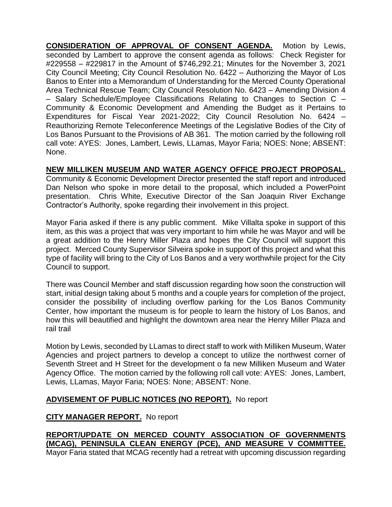**CONSIDERATION OF APPROVAL OF CONSENT AGENDA.** Motion by Lewis, seconded by Lambert to approve the consent agenda as follows: Check Register for #229558 – #229817 in the Amount of \$746,292.21; Minutes for the November 3, 2021 City Council Meeting; City Council Resolution No. 6422 – Authorizing the Mayor of Los Banos to Enter into a Memorandum of Understanding for the Merced County Operational Area Technical Rescue Team; City Council Resolution No. 6423 – Amending Division 4 – Salary Schedule/Employee Classifications Relating to Changes to Section C – Community & Economic Development and Amending the Budget as it Pertains to Expenditures for Fiscal Year 2021-2022; City Council Resolution No. 6424 – Reauthorizing Remote Teleconference Meetings of the Legislative Bodies of the City of Los Banos Pursuant to the Provisions of AB 361. The motion carried by the following roll call vote: AYES: Jones, Lambert, Lewis, LLamas, Mayor Faria; NOES: None; ABSENT: None.

# **NEW MILLIKEN MUSEUM AND WATER AGENCY OFFICE PROJECT PROPOSAL.**

Community & Economic Development Director presented the staff report and introduced Dan Nelson who spoke in more detail to the proposal, which included a PowerPoint presentation. Chris White, Executive Director of the San Joaquin River Exchange Contractor's Authority, spoke regarding their involvement in this project.

Mayor Faria asked if there is any public comment. Mike Villalta spoke in support of this item, as this was a project that was very important to him while he was Mayor and will be a great addition to the Henry Miller Plaza and hopes the City Council will support this project. Merced County Supervisor Silveira spoke in support of this project and what this type of facility will bring to the City of Los Banos and a very worthwhile project for the City Council to support.

There was Council Member and staff discussion regarding how soon the construction will start, initial design taking about 5 months and a couple years for completion of the project, consider the possibility of including overflow parking for the Los Banos Community Center, how important the museum is for people to learn the history of Los Banos, and how this will beautified and highlight the downtown area near the Henry Miller Plaza and rail trail

Motion by Lewis, seconded by LLamas to direct staff to work with Milliken Museum, Water Agencies and project partners to develop a concept to utilize the northwest corner of Seventh Street and H Street for the development o fa new Milliken Museum and Water Agency Office. The motion carried by the following roll call vote: AYES: Jones, Lambert, Lewis, LLamas, Mayor Faria; NOES: None; ABSENT: None.

# **ADVISEMENT OF PUBLIC NOTICES (NO REPORT).** No report

# **CITY MANAGER REPORT.** No report

**REPORT/UPDATE ON MERCED COUNTY ASSOCIATION OF GOVERNMENTS (MCAG), PENINSULA CLEAN ENERGY (PCE), AND MEASURE V COMMITTEE.** Mayor Faria stated that MCAG recently had a retreat with upcoming discussion regarding